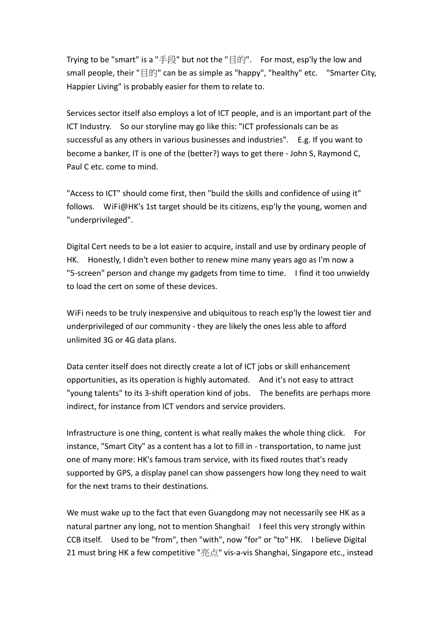Trying to be "smart" is a "手段" but not the "目的". For most, esp'ly the low and small people, their "目的" can be as simple as "happy", "healthy" etc. "Smarter City, Happier Living" is probably easier for them to relate to.

Services sector itself also employs a lot of ICT people, and is an important part of the ICT Industry. So our storyline may go like this: "ICT professionals can be as successful as any others in various businesses and industries". E.g. If you want to become a banker, IT is one of the (better?) ways to get there - John S, Raymond C, Paul C etc. come to mind.

"Access to ICT" should come first, then "build the skills and confidence of using it" follows. WiFi@HK's 1st target should be its citizens, esp'ly the young, women and "underprivileged".

Digital Cert needs to be a lot easier to acquire, install and use by ordinary people of HK. Honestly, I didn't even bother to renew mine many years ago as I'm now a "5-screen" person and change my gadgets from time to time. I find it too unwieldy to load the cert on some of these devices.

WiFi needs to be truly inexpensive and ubiquitous to reach esp'ly the lowest tier and underprivileged of our community - they are likely the ones less able to afford unlimited 3G or 4G data plans.

Data center itself does not directly create a lot of ICT jobs or skill enhancement opportunities, as its operation is highly automated. And it's not easy to attract "young talents" to its 3-shift operation kind of jobs. The benefits are perhaps more indirect, for instance from ICT vendors and service providers.

Infrastructure is one thing, content is what really makes the whole thing click. For instance, "Smart City" as a content has a lot to fill in - transportation, to name just one of many more: HK's famous tram service, with its fixed routes that's ready supported by GPS, a display panel can show passengers how long they need to wait for the next trams to their destinations.

We must wake up to the fact that even Guangdong may not necessarily see HK as a natural partner any long, not to mention Shanghai! I feel this very strongly within CCB itself. Used to be "from", then "with", now "for" or "to" HK. I believe Digital 21 must bring HK a few competitive "亮点" vis-a-vis Shanghai, Singapore etc., instead